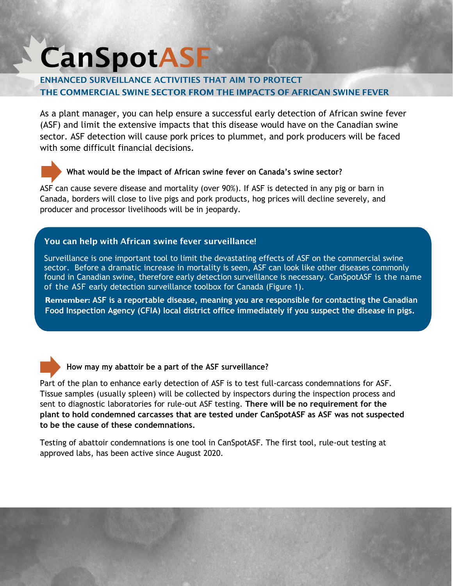# **CanSpotASF**

## ENHANCED SURVEILLANCE ACTIVITIES THAT AIM TO PROTECT THE COMMERCIAL SWINE SECTOR FROM THE IMPACTS OF AFRICAN SWINE FEVER

As a plant manager, you can help ensure a successful early detection of African swine fever (ASF) and limit the extensive impacts that this disease would have on the Canadian swine sector. ASF detection will cause pork prices to plummet, and pork producers will be faced with some difficult financial decisions.

# **What would be the impact of African swine fever on Canada's swine sector?**

ASF can cause severe disease and mortality (over 90%). If ASF is detected in any pig or barn in Canada, borders will close to live pigs and pork products, hog prices will decline severely, and producer and processor livelihoods will be in jeopardy.

#### You can help with African swine fever surveillance!

Surveillance is one important tool to limit the devastating effects of ASF on the commercial swine sector. Before a dramatic increase in mortality is seen, ASF can look like other diseases commonly found in Canadian swine, therefore early detection surveillance is necessary. CanSpotASF is the name of the ASF early detection surveillance toolbox for Canada (Figure 1).

**Remember: ASF is a reportable disease, meaning you are responsible for contacting the Canadian Food Inspection Agency (CFIA) local district office immediately if you suspect the disease in pigs.**



### **How may my abattoir be a part of the ASF surveillance?**

Part of the plan to enhance early detection of ASF is to test full-carcass condemnations for ASF. Tissue samples (usually spleen) will be collected by inspectors during the inspection process and sent to diagnostic laboratories for rule-out ASF testing. **There will be no requirement for the plant to hold condemned carcasses that are tested under CanSpotASF as ASF was not suspected to be the cause of these condemnations.** 

Testing of abattoir condemnations is one tool in CanSpotASF. The first tool, rule-out testing at approved labs, has been active since August 2020.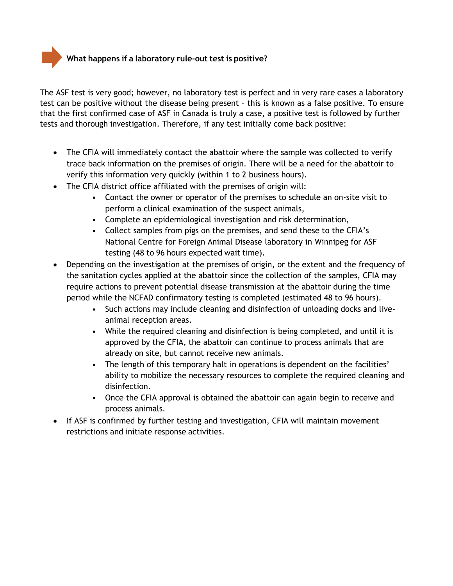**What happens if a laboratory rule-out test is positive?**

The ASF test is very good; however, no laboratory test is perfect and in very rare cases a laboratory test can be positive without the disease being present – this is known as a false positive. To ensure that the first confirmed case of ASF in Canada is truly a case, a positive test is followed by further tests and thorough investigation. Therefore, if any test initially come back positive:

- The CFIA will immediately contact the abattoir where the sample was collected to verify trace back information on the premises of origin. There will be a need for the abattoir to verify this information very quickly (within 1 to 2 business hours).
- The CFIA district office affiliated with the premises of origin will:
	- Contact the owner or operator of the premises to schedule an on-site visit to perform a clinical examination of the suspect animals,
	- Complete an epidemiological investigation and risk determination,
	- Collect samples from pigs on the premises, and send these to the CFIA's National Centre for Foreign Animal Disease laboratory in Winnipeg for ASF testing (48 to 96 hours expected wait time).
- Depending on the investigation at the premises of origin, or the extent and the frequency of the sanitation cycles applied at the abattoir since the collection of the samples, CFIA may require actions to prevent potential disease transmission at the abattoir during the time period while the NCFAD confirmatory testing is completed (estimated 48 to 96 hours).
	- Such actions may include cleaning and disinfection of unloading docks and liveanimal reception areas.
	- While the required cleaning and disinfection is being completed, and until it is approved by the CFIA, the abattoir can continue to process animals that are already on site, but cannot receive new animals.
	- The length of this temporary halt in operations is dependent on the facilities' ability to mobilize the necessary resources to complete the required cleaning and disinfection.
	- Once the CFIA approval is obtained the abattoir can again begin to receive and process animals.
- If ASF is confirmed by further testing and investigation, CFIA will maintain movement restrictions and initiate response activities.